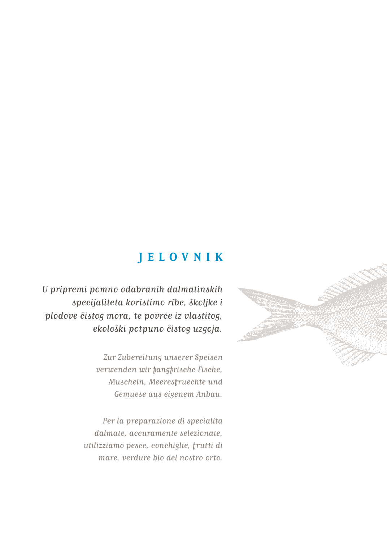#### **JELOVNIK**

U pripremi pomno odabranih dalmatinskih specijaliteta koristimo ribe, školjke i plodove čistog mora, te povrće iz vlastitog, ekološki potpuno čistog uzgoja.

> Zur Zubereitung unserer Speisen verwenden wir fangfrische Fische, Muscheln, Meeresfruechte und Gemuese aus eigenem Anbau.

Per la preparazione di specialita dalmate, accuramente selezionate, utilizziamo pesce, conchiglie, frutti di mare, verdure bio del nostro orto.

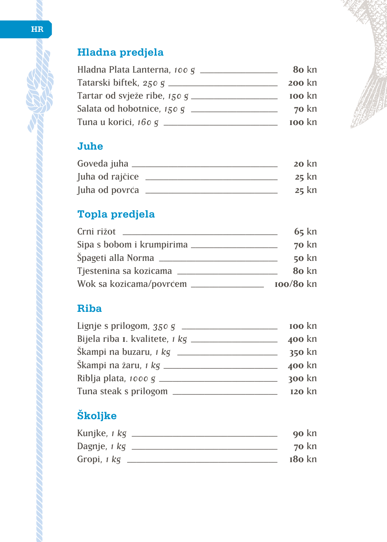### **Hladna predjela**

| Hladna Plata Lanterna, 100 g ____ | 80 kn         |
|-----------------------------------|---------------|
| Tatarski biftek, 250 g ______     | <b>200 kn</b> |
| Tartar od svježe ribe, 150 g ____ | <b>100 kn</b> |
| Salata od hobotnice, 150 g ___    | $70$ kn       |
| Tuna u korici, 160 g ____         | <b>100</b> kn |

## **Juhe**

| Goveda juha     | $20 \mathrm{km}$ |
|-----------------|------------------|
| Juha od rajčice | $25$ kn          |
| Juha od povrća  | $25$ kn          |

### **Topla predjela**

| Crni rižot                 | $65$ kn     |
|----------------------------|-------------|
| Sipa s bobom i krumpirima  | $70$ kn     |
| Spageti alla Norma         | $50$ kn     |
| Tjestenina sa kozicama     | 80 kn       |
| Wok sa kozicama/povrćem __ | $100/80$ kn |

#### **Riba**

| Lignje s prilogom, $350g$ ____          | <b>100 kn</b> |
|-----------------------------------------|---------------|
| Bijela riba I. kvalitete, 1 kg ________ | <b>400 kn</b> |
| Škampi na buzaru, $1 \text{ kg}$ __     | $350$ kn      |
| Škampi na žaru, $1 \text{ kg}$ ___      | <b>400 kn</b> |
| Riblja plata, 1000 g ___                | $300$ kn      |
| Tuna steak s prilogom                   | $120$ kn      |

## **Školjke**

| Kunjke, 1 kg | <b>90 kn</b>    |
|--------------|-----------------|
| Dagnje, 1 kg | $70 \text{ km}$ |
| Gropi, 1 kg  | $180$ kn        |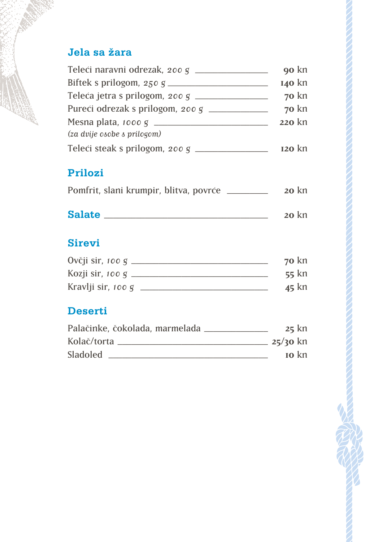#### **Jela sa žara**

|                                    | 90 kn    |
|------------------------------------|----------|
|                                    | 140 kn   |
| Teleća jetra s prilogom, 200 g ___ | $70$ kn  |
|                                    | $70$ kn  |
|                                    | 220 kn   |
| (za dvije osobe s prilogom)        |          |
| Teleći steak s prilogom, 200 g     | $120$ kn |

#### **Prilozi**

|  |  | Pomfrit, slani krumpir, blitva, povrće |  |  |  | $20$ kn |
|--|--|----------------------------------------|--|--|--|---------|
|--|--|----------------------------------------|--|--|--|---------|

### **Salate** \_\_\_\_\_\_\_\_\_\_\_\_\_\_\_\_\_\_\_\_\_\_\_\_\_\_\_\_\_\_\_\_\_\_\_\_ **20** kn

#### **Sirevi**

| Ovčji sir, 100 g   | $70$ kn |
|--------------------|---------|
| Kozji sir, 100 g   | $55$ kn |
| Kravlji sir, 100 g | $45$ kn |

#### **Deserti**

| Palačinke, čokolada, marmelada | $25$ kn                    |
|--------------------------------|----------------------------|
| Kolač/torta                    | $25/30$ kn                 |
| <b>Sladoled</b>                | $\mathbf{I} \mathbf{O}$ kn |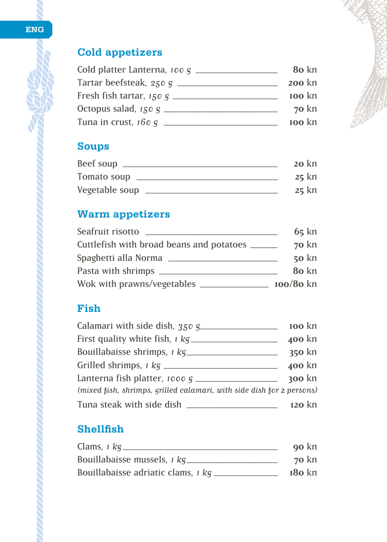#### **ENG**

### **Cold appetizers**

| Cold platter Lanterna, 100 g _____ | 80 kn           |
|------------------------------------|-----------------|
| Tartar beefsteak, 250 g _____      | <b>200 kn</b>   |
| Fresh fish tartar, $150 g$ _____   | <b>100 kn</b>   |
| Octopus salad, $150 g$ _____       | $70 \text{ km}$ |
| Tuna in crust, $160 g$ $\equiv$    | <b>100 kn</b>   |

#### **Soups**

| Beef soup      | $20 \mathrm{km}$ |
|----------------|------------------|
| Tomato soup    | $25$ kn          |
| Vegetable soup | $25$ kn          |

## **Warm appetizers**

| Seafruit risotto                               | $65$ kn     |
|------------------------------------------------|-------------|
| Cuttlefish with broad beans and potatoes _____ | $70$ kn     |
| Spaghetti alla Norma                           | $50$ kn     |
| Pasta with shrimps ______                      | 80 kn       |
| Wok with prawns/vegetables _                   | $100/80$ kn |

#### **Fish**

| Calamari with side dish, 350 g                                        | <b>100 kn</b> |
|-----------------------------------------------------------------------|---------------|
| First quality white fish, <i>i kg</i>                                 | <b>400 kn</b> |
| Bouillabaisse shrimps, 1 kg                                           | 350 kn        |
| Grilled shrimps, 1 kg ______                                          | <b>400 kn</b> |
| Lanterna fish platter, 1000 g $\equiv$                                | <b>300 kn</b> |
| (mixed fish, shrimps, grilled calamari, with side dish for 2 persons) |               |
| Tuna steak with side dish                                             | $120$ kn      |

#### **Shellfish**

| Clams, $1$ kg.                     | <b>90 kn</b>    |
|------------------------------------|-----------------|
| Bouillabaisse mussels, 1 kg        | $70 \text{ km}$ |
| Bouillabaisse adriatic clams, 1 kg | $180$ kn        |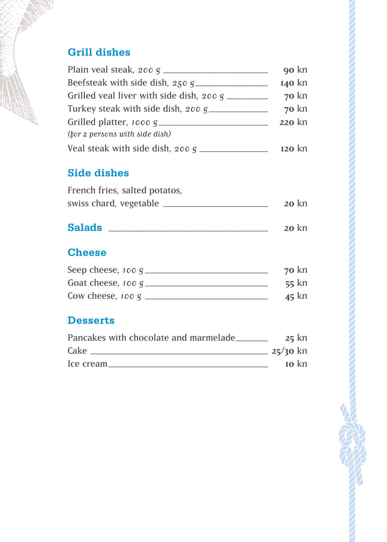#### **Grill dishes**

|                                                  | 90 kn         |
|--------------------------------------------------|---------------|
|                                                  | <b>140 kn</b> |
| Grilled veal liver with side dish, 200 g _______ | $70$ kn       |
| Turkey steak with side dish, 200 g               | $70$ kn       |
|                                                  | 220 kn        |
| (for 2 persons with side dish)                   |               |
| Veal steak with side dish, 200 g.                | $I20$ kn      |

#### **Side dishes**

| French fries, salted potatos, |                 |
|-------------------------------|-----------------|
| swiss chard, vegetable        | $20 \text{ km}$ |

# **Salads** \_\_\_\_\_\_\_\_\_\_\_\_\_\_\_\_\_\_\_\_\_\_\_\_\_\_\_\_\_\_\_\_\_\_\_ **20** kn

#### **Cheese**

| Seep cheese, 100 g  | $70 \text{ km}$ |
|---------------------|-----------------|
| Goat cheese, 100 g  | $55$ kn         |
| Cow cheese, $100 g$ | $45$ kn         |

#### **Desserts**

| Pancakes with chocolate and marmelade | $25$ kn                    |
|---------------------------------------|----------------------------|
| Cake                                  | $25/30$ kn                 |
| Ice cream                             | $\mathbf{I} \mathbf{O}$ kn |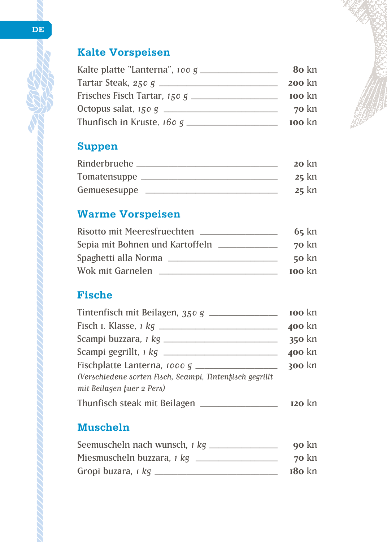#### **Kalte Vorspeisen**

| Kalte platte "Lanterna", 100 $g$ ______ | 80 kn           |
|-----------------------------------------|-----------------|
| Tartar Steak, 250 g _____________       | <b>200 kn</b>   |
| Frisches Fisch Tartar, 150 g            | <b>100</b> kn   |
| Octopus salat, 150 g ____               | $70 \text{ km}$ |
| Thunfisch in Kruste, $160 g$ _          | <b>100</b> kn   |

#### **Suppen**

| Rinderbruehe | $20 \mathrm{km}$ |
|--------------|------------------|
| Tomatensuppe | $25$ kn          |
| Gemuesesuppe | $25$ kn          |

#### **Warme Vorspeisen**

| <b>Risotto mit Meeresfruechten</b> | $65$ kn         |
|------------------------------------|-----------------|
| Sepia mit Bohnen und Kartoffeln    | $70 \text{ km}$ |
| Spaghetti alla Norma               | $50 \text{ km}$ |
| Wok mit Garnelen                   | <b>100</b> kn   |

#### **Fische**

| Tintenfisch mit Beilagen, 350 g                          | <b>100 kn</b> |
|----------------------------------------------------------|---------------|
|                                                          | 400 kn        |
|                                                          | 350 kn        |
|                                                          | 400 kn        |
| Fischplatte Lanterna, 1000 g ________________            | <b>300 kn</b> |
| (Verschiedene sorten Fisch, Scampi, Tintenfisch gegrillt |               |
| mit Beilagen fuer 2 Pers)                                |               |
| Thunfisch steak mit Beilagen                             | $I20$ kn      |

#### **Muscheln**

| Seemuscheln nach wunsch, 1 kg | <b>90 kn</b> |
|-------------------------------|--------------|
| Miesmuscheln buzzara, 1 kg    | $70$ kn      |
| Gropi buzara, 1 kg            | $180$ kn     |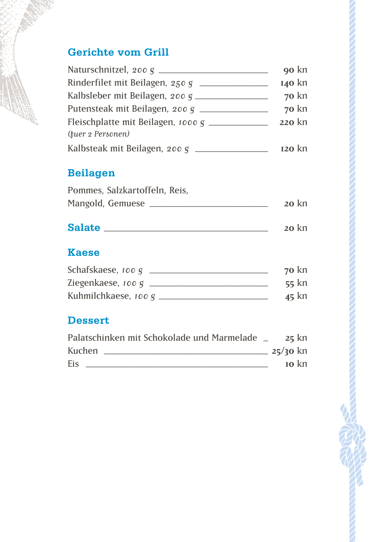#### **Gerichte vom Grill**

|                                    | <b>90 kn</b>  |
|------------------------------------|---------------|
| Rinderfilet mit Beilagen, 250 g    | <b>140 kn</b> |
| Kalbsleber mit Beilagen, 200 g     | $70$ kn       |
| Putensteak mit Beilagen, 200 g     | $70$ kn       |
| Fleischplatte mit Beilagen, 1000 g | 220 kn        |
| (tuer 2 Personen)                  |               |
| Kalbsteak mit Beilagen, 200 g      | $I20$ kn      |

#### **Beilagen**

| Pommes, Salzkartoffeln, Reis, |                  |
|-------------------------------|------------------|
| Mangold, Gemuese              | $20 \mathrm{km}$ |

## **Salate** \_\_\_\_\_\_\_\_\_\_\_\_\_\_\_\_\_\_\_\_\_\_\_\_\_\_\_\_\_\_\_\_\_\_\_\_ **20** kn

#### **Kaese**

| Schafskaese, 100 g   | $70 \text{ km}$ |
|----------------------|-----------------|
| Ziegenkaese, 100 g   | $55$ kn         |
| Kuhmilchkaese, 100 g | $45$ kn         |

#### **Dessert**

| Palatschinken mit Schokolade und Marmelade | $25$ kn                    |
|--------------------------------------------|----------------------------|
| Kuchen                                     | $25/30$ kn                 |
| Eis                                        | $\mathbf{I} \mathbf{O}$ kn |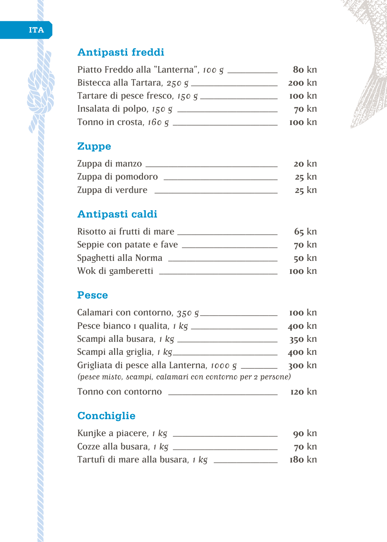#### **Antipasti freddi**

| Piatto Freddo alla "Lanterna", 100 g _____ | 80 kn         |
|--------------------------------------------|---------------|
| Bistecca alla Tartara, 250 g _____         | <b>200 kn</b> |
| Tartare di pesce fresco, 150 g __          | <b>100</b> kn |
| Insalata di polpo, $150 g$ __              | $70$ kn       |
| Tonno in crosta, $160 g$ __                | <b>100</b> kn |

#### **Zuppe**

| Zuppa di manzo    | $20$ kn |
|-------------------|---------|
| Zuppa di pomodoro | $25$ kn |
| Zuppa di verdure  | $25$ kn |

### **Antipasti caldi**

| Risotto ai frutti di mare | $65$ kn         |
|---------------------------|-----------------|
| Seppie con patate e fave  | $70$ kn         |
| Spaghetti alla Norma      | $50 \text{ km}$ |
| Wok di gamberetti         | <b>100</b> kn   |

#### **Pesce**

| Calamari con contorno, 350 g                               | <b>100 kn</b> |
|------------------------------------------------------------|---------------|
| Pesce bianco i qualita, 1 kg _____                         | <b>400 kn</b> |
| Scampi alla busara, <i>1 kg</i> _____                      | 350 kn        |
| Scampi alla griglia, <i>1 kg</i> ___                       | <b>400 kn</b> |
| Grigliata di pesce alla Lanterna, 1000 g _______           | $300$ kn      |
| (pesce misto, scampi, calamari con contorno per 2 persone) |               |
| Tonno con contorno                                         | $120$ kn      |

### **Conchiglie**

| Kunjke a piacere, 1 kg            | <b>90 kn</b> |
|-----------------------------------|--------------|
| Cozze alla busara, 1 kg           | $70$ kn      |
| Tartufi di mare alla busara, 1 kg | $180$ kn     |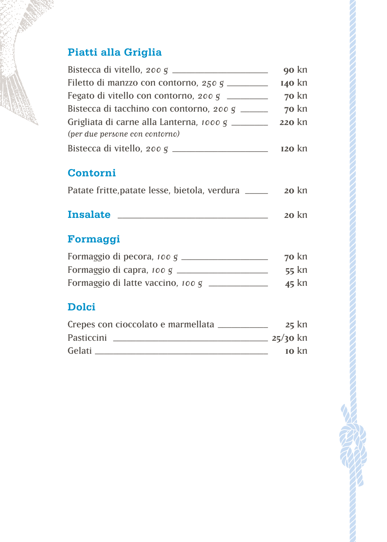### **Piatti alla Griglia**

|                                                 | 90 kn         |
|-------------------------------------------------|---------------|
| Filetto di manzzo con contorno, 250 g           | <b>140 kn</b> |
| Fegato di vitello con contorno, 200 g           | $70$ kn       |
| Bistecca di tacchino con contorno, 200 g _____  | $70$ kn       |
| Grigliata di carne alla Lanterna, 1000 g ______ | 220 kn        |
| (per due persone con contorno)                  |               |
| Bistecca di vitello, 200 g _                    | $I20$ kn      |

#### **Contorni**

| Patate fritte, patate lesse, bietola, verdura |  |  |  |  |  | $20$ kn |  |
|-----------------------------------------------|--|--|--|--|--|---------|--|
|-----------------------------------------------|--|--|--|--|--|---------|--|

## **Insalate** \_\_\_\_\_\_\_\_\_\_\_\_\_\_\_\_\_\_\_\_\_\_\_\_\_\_\_\_\_\_\_\_\_ **20** kn

### **Formaggi**

| Formaggio di pecora, 100 g        | $70$ kn |
|-----------------------------------|---------|
| Formaggio di capra, 100 g         | $55$ kn |
| Formaggio di latte vaccino, 100 g | $45$ kn |

#### **Dolci**

| Crepes con cioccolato e marmellata | $25$ kn                  |
|------------------------------------|--------------------------|
| Pasticcini                         | $25/30$ kn               |
| Gelati                             | $\mathbf{I}$ <b>o</b> kn |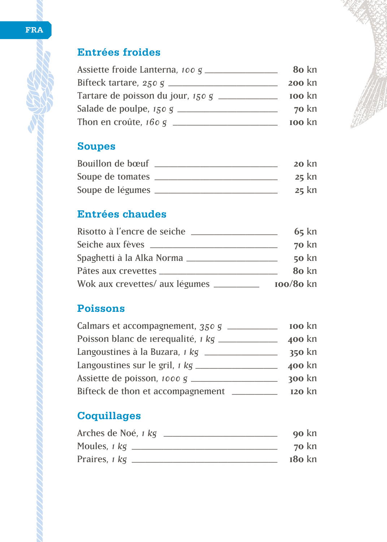#### **Entrées froides**

| Assiette froide Lanterna, 100 g _____ | 80 kn         |
|---------------------------------------|---------------|
| Bifteck tartare, $250g$ _______       | <b>200 kn</b> |
| Tartare de poisson du jour, 150 g     | <b>100 kn</b> |
| Salade de poulpe, $150g$ ____         | $70$ kn       |
| Thon en croûte, $160 g$ ___           | <b>100</b> kn |

#### **Soupes**

| Bouillon de boeuf | $20$ kn |
|-------------------|---------|
| Soupe de tomates  | $25$ kn |
| Soupe de légumes  | $25$ kn |

#### **Entrées chaudes**

| Risotto à l'encre de seiche ____      | $65$ kn         |
|---------------------------------------|-----------------|
| Seiche aux fèves _____                | $70$ kn         |
| Spaghetti à la Alka Norma             | $50 \text{ km}$ |
| Pâtes aux crevettes                   | 80 kn           |
| Wok aux crevettes/ aux légumes ______ | $100/80$ kn     |

### **Poissons**

| Calmars et accompagnement, 350 g         | <b>100 kn</b> |
|------------------------------------------|---------------|
| Poisson blanc de rerequalité, 1 kg _     | <b>400 kn</b> |
| Langoustines à la Buzara, 1 kg _         | $350$ kn      |
| Langoustines sur le gril, $1 \text{ kg}$ | <b>400 kn</b> |
| Assiette de poisson, 1000 g $_{-}$       | $300$ kn      |
| Bifteck de thon et accompagnement        | $120$ kn      |

### **Coquillages**

| Arches de Noé, <i>1 kg</i> | <b>90 kn</b>    |
|----------------------------|-----------------|
| Moules, 1 kg               | $70 \text{ km}$ |
| Praires, 1 kg              | $180$ kn        |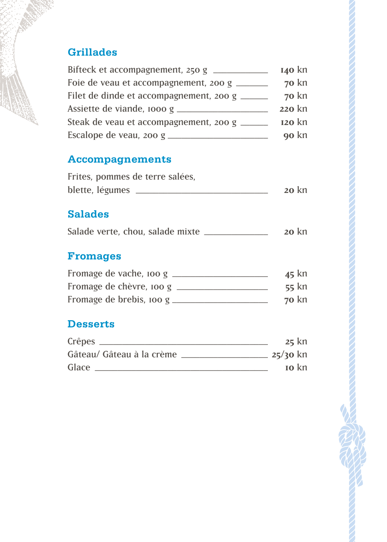#### **Grillades**

| Bifteck et accompagnement, 250 g             | <b>140 kn</b> |
|----------------------------------------------|---------------|
| Foie de veau et accompagnement, 200 g _____  | $70$ kn       |
| Filet de dinde et accompagnement, 200 g ____ | $70$ kn       |
|                                              | <b>220 kn</b> |
| Steak de veau et accompagnement, 200 g _____ | $120$ kn      |
| Escalope de veau, 200 g $\equiv$             | 90 kn         |

#### **Accompagnements**

| Frites, pommes de terre salées, |         |
|---------------------------------|---------|
| blette, légumes                 | $20$ kn |

#### **Salades**

| Salade verte, chou, salade mixte |  | $20$ kn |
|----------------------------------|--|---------|
|----------------------------------|--|---------|

### **Fromages**

| Fromage de vache, 100 g  | $45$ kn         |
|--------------------------|-----------------|
| Fromage de chèvre, 100 g | $55$ kn         |
| Fromage de brebis, 100 g | $70 \text{ km}$ |

#### **Desserts**

| Crêpes                    | $25$ kn                              |
|---------------------------|--------------------------------------|
| Gâteau/ Gâteau à la crème | $25/30$ kn                           |
| Glace                     | $\mathbf{I}$ <b>o</b> $\mathbf{K}$ n |